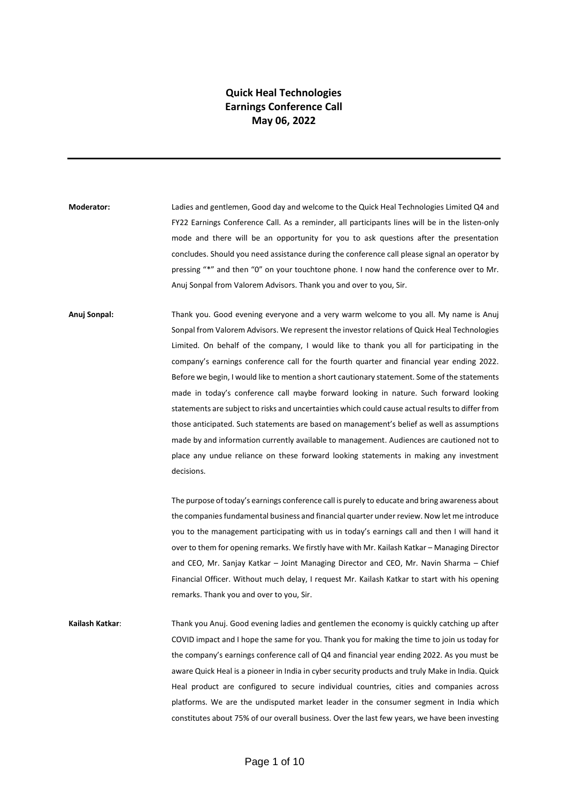## **Quick Heal Technologies Earnings Conference Call May 06, 2022**

**Moderator:** Ladies and gentlemen, Good day and welcome to the Quick Heal Technologies Limited Q4 and FY22 Earnings Conference Call. As a reminder, all participants lines will be in the listen-only mode and there will be an opportunity for you to ask questions after the presentation concludes. Should you need assistance during the conference call please signal an operator by pressing "\*" and then "0" on your touchtone phone. I now hand the conference over to Mr. Anuj Sonpal from Valorem Advisors. Thank you and over to you, Sir.

**Anuj Sonpal:** Thank you. Good evening everyone and a very warm welcome to you all. My name is Anuj Sonpal from Valorem Advisors. We represent the investor relations of Quick Heal Technologies Limited. On behalf of the company, I would like to thank you all for participating in the company's earnings conference call for the fourth quarter and financial year ending 2022. Before we begin, I would like to mention a short cautionary statement. Some of the statements made in today's conference call maybe forward looking in nature. Such forward looking statements are subject to risks and uncertainties which could cause actual results to differ from those anticipated. Such statements are based on management's belief as well as assumptions made by and information currently available to management. Audiences are cautioned not to place any undue reliance on these forward looking statements in making any investment decisions.

> The purpose of today's earnings conference call is purely to educate and bring awareness about the companies fundamental business and financial quarter under review. Now let me introduce you to the management participating with us in today's earnings call and then I will hand it over to them for opening remarks. We firstly have with Mr. Kailash Katkar – Managing Director and CEO, Mr. Sanjay Katkar – Joint Managing Director and CEO, Mr. Navin Sharma – Chief Financial Officer. Without much delay, I request Mr. Kailash Katkar to start with his opening remarks. Thank you and over to you, Sir.

**Kailash Katkar**: Thank you Anuj. Good evening ladies and gentlemen the economy is quickly catching up after COVID impact and I hope the same for you. Thank you for making the time to join us today for the company's earnings conference call of Q4 and financial year ending 2022. As you must be aware Quick Heal is a pioneer in India in cyber security products and truly Make in India. Quick Heal product are configured to secure individual countries, cities and companies across platforms. We are the undisputed market leader in the consumer segment in India which constitutes about 75% of our overall business. Over the last few years, we have been investing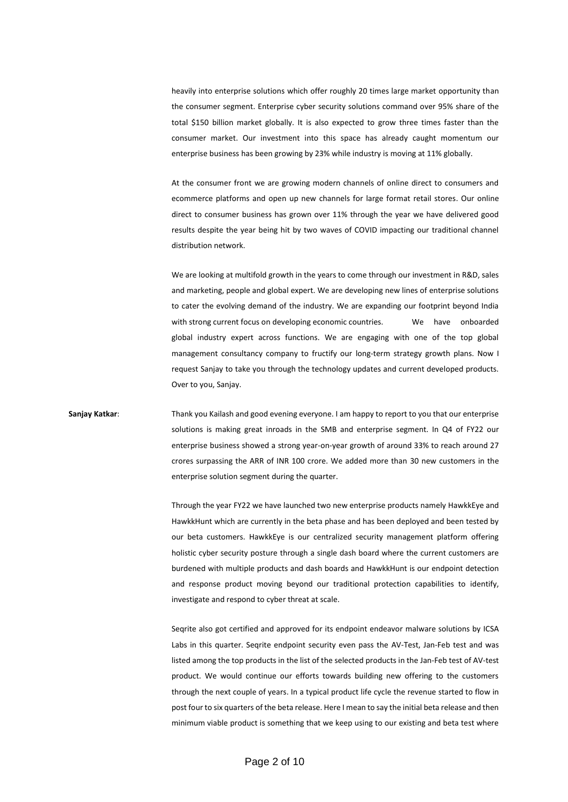heavily into enterprise solutions which offer roughly 20 times large market opportunity than the consumer segment. Enterprise cyber security solutions command over 95% share of the total \$150 billion market globally. It is also expected to grow three times faster than the consumer market. Our investment into this space has already caught momentum our enterprise business has been growing by 23% while industry is moving at 11% globally.

At the consumer front we are growing modern channels of online direct to consumers and ecommerce platforms and open up new channels for large format retail stores. Our online direct to consumer business has grown over 11% through the year we have delivered good results despite the year being hit by two waves of COVID impacting our traditional channel distribution network.

We are looking at multifold growth in the years to come through our investment in R&D, sales and marketing, people and global expert. We are developing new lines of enterprise solutions to cater the evolving demand of the industry. We are expanding our footprint beyond India with strong current focus on developing economic countries. We have onboarded global industry expert across functions. We are engaging with one of the top global management consultancy company to fructify our long-term strategy growth plans. Now I request Sanjay to take you through the technology updates and current developed products. Over to you, Sanjay.

## **Sanjay Katkar**: Thank you Kailash and good evening everyone. I am happy to report to you that our enterprise solutions is making great inroads in the SMB and enterprise segment. In Q4 of FY22 our enterprise business showed a strong year-on-year growth of around 33% to reach around 27 crores surpassing the ARR of INR 100 crore. We added more than 30 new customers in the enterprise solution segment during the quarter.

Through the year FY22 we have launched two new enterprise products namely HawkkEye and HawkkHunt which are currently in the beta phase and has been deployed and been tested by our beta customers. HawkkEye is our centralized security management platform offering holistic cyber security posture through a single dash board where the current customers are burdened with multiple products and dash boards and HawkkHunt is our endpoint detection and response product moving beyond our traditional protection capabilities to identify, investigate and respond to cyber threat at scale.

Seqrite also got certified and approved for its endpoint endeavor malware solutions by ICSA Labs in this quarter. Seqrite endpoint security even pass the AV-Test, Jan-Feb test and was listed among the top products in the list of the selected products in the Jan-Feb test of AV-test product. We would continue our efforts towards building new offering to the customers through the next couple of years. In a typical product life cycle the revenue started to flow in post four to six quarters of the beta release. Here I mean to say the initial beta release and then minimum viable product is something that we keep using to our existing and beta test where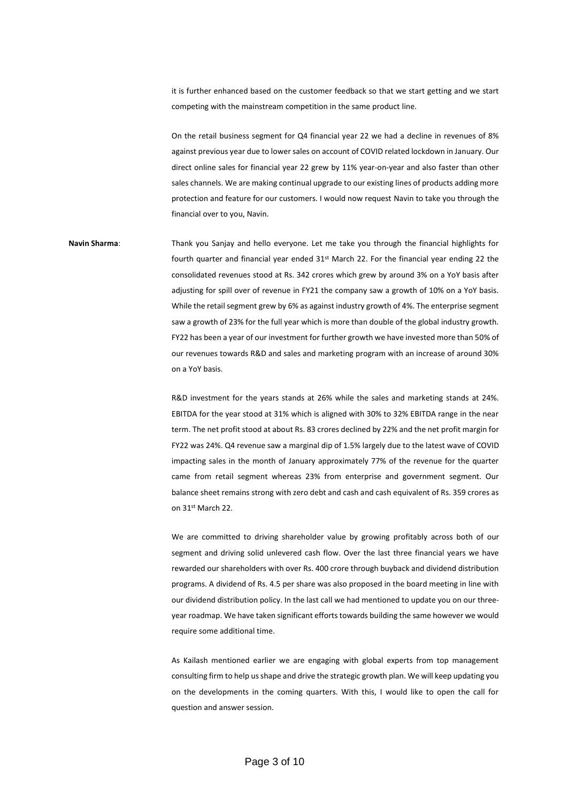it is further enhanced based on the customer feedback so that we start getting and we start competing with the mainstream competition in the same product line.

On the retail business segment for Q4 financial year 22 we had a decline in revenues of 8% against previous year due to lower sales on account of COVID related lockdown in January. Our direct online sales for financial year 22 grew by 11% year-on-year and also faster than other sales channels. We are making continual upgrade to our existing lines of products adding more protection and feature for our customers. I would now request Navin to take you through the financial over to you, Navin.

**Navin Sharma**: Thank you Sanjay and hello everyone. Let me take you through the financial highlights for fourth quarter and financial year ended  $31^{st}$  March 22. For the financial year ending 22 the consolidated revenues stood at Rs. 342 crores which grew by around 3% on a YoY basis after adjusting for spill over of revenue in FY21 the company saw a growth of 10% on a YoY basis. While the retail segment grew by 6% as against industry growth of 4%. The enterprise segment saw a growth of 23% for the full year which is more than double of the global industry growth. FY22 has been a year of our investment for further growth we have invested more than 50% of our revenues towards R&D and sales and marketing program with an increase of around 30% on a YoY basis.

> R&D investment for the years stands at 26% while the sales and marketing stands at 24%. EBITDA for the year stood at 31% which is aligned with 30% to 32% EBITDA range in the near term. The net profit stood at about Rs. 83 crores declined by 22% and the net profit margin for FY22 was 24%. Q4 revenue saw a marginal dip of 1.5% largely due to the latest wave of COVID impacting sales in the month of January approximately 77% of the revenue for the quarter came from retail segment whereas 23% from enterprise and government segment. Our balance sheet remains strong with zero debt and cash and cash equivalent of Rs. 359 crores as on 31st March 22.

> We are committed to driving shareholder value by growing profitably across both of our segment and driving solid unlevered cash flow. Over the last three financial years we have rewarded our shareholders with over Rs. 400 crore through buyback and dividend distribution programs. A dividend of Rs. 4.5 per share was also proposed in the board meeting in line with our dividend distribution policy. In the last call we had mentioned to update you on our threeyear roadmap. We have taken significant efforts towards building the same however we would require some additional time.

> As Kailash mentioned earlier we are engaging with global experts from top management consulting firm to help us shape and drive the strategic growth plan. We will keep updating you on the developments in the coming quarters. With this, I would like to open the call for question and answer session.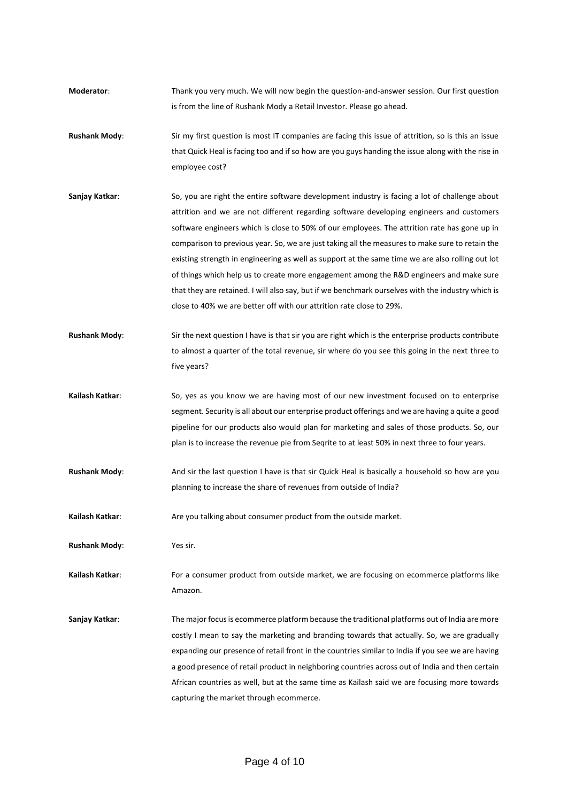- **Moderator**: Thank you very much. We will now begin the question-and-answer session. Our first question is from the line of Rushank Mody a Retail Investor. Please go ahead.
- **Rushank Mody**: Sir my first question is most IT companies are facing this issue of attrition, so is this an issue that Quick Heal is facing too and if so how are you guys handing the issue along with the rise in employee cost?
- **Sanjay Katkar:** So, you are right the entire software development industry is facing a lot of challenge about attrition and we are not different regarding software developing engineers and customers software engineers which is close to 50% of our employees. The attrition rate has gone up in comparison to previous year. So, we are just taking all the measures to make sure to retain the existing strength in engineering as well as support at the same time we are also rolling out lot of things which help us to create more engagement among the R&D engineers and make sure that they are retained. I will also say, but if we benchmark ourselves with the industry which is close to 40% we are better off with our attrition rate close to 29%.
- **Rushank Mody**: Sir the next question I have is that sir you are right which is the enterprise products contribute to almost a quarter of the total revenue, sir where do you see this going in the next three to five years?
- **Kailash Katkar**: So, yes as you know we are having most of our new investment focused on to enterprise segment. Security is all about our enterprise product offerings and we are having a quite a good pipeline for our products also would plan for marketing and sales of those products. So, our plan is to increase the revenue pie from Seqrite to at least 50% in next three to four years.
- **Rushank Mody**: And sir the last question I have is that sir Quick Heal is basically a household so how are you planning to increase the share of revenues from outside of India?
- **Kailash Katkar**: Are you talking about consumer product from the outside market.

**Rushank Mody**: Yes sir.

**Kailash Katkar**: For a consumer product from outside market, we are focusing on ecommerce platforms like Amazon.

**Sanjay Katkar**: The major focus is ecommerce platform because the traditional platforms out of India are more costly I mean to say the marketing and branding towards that actually. So, we are gradually expanding our presence of retail front in the countries similar to India if you see we are having a good presence of retail product in neighboring countries across out of India and then certain African countries as well, but at the same time as Kailash said we are focusing more towards capturing the market through ecommerce.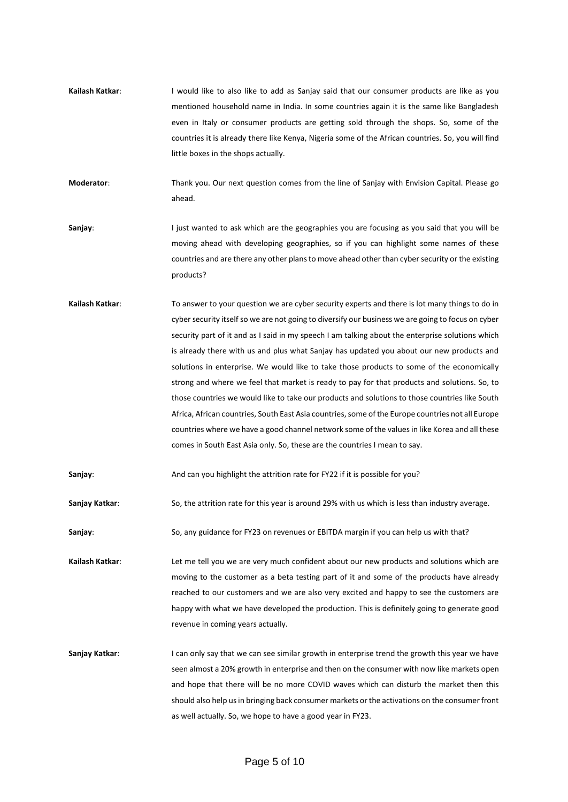**Kailash Katkar:** I would like to also like to add as Saniay said that our consumer products are like as you mentioned household name in India. In some countries again it is the same like Bangladesh even in Italy or consumer products are getting sold through the shops. So, some of the countries it is already there like Kenya, Nigeria some of the African countries. So, you will find little boxes in the shops actually.

**Moderator**: Thank you. Our next question comes from the line of Sanjay with Envision Capital. Please go ahead.

- **Sanjay**: I just wanted to ask which are the geographies you are focusing as you said that you will be moving ahead with developing geographies, so if you can highlight some names of these countries and are there any other plans to move ahead other than cyber security or the existing products?
- **Kailash Katkar**: To answer to your question we are cyber security experts and there is lot many things to do in cyber security itself so we are not going to diversify our business we are going to focus on cyber security part of it and as I said in my speech I am talking about the enterprise solutions which is already there with us and plus what Sanjay has updated you about our new products and solutions in enterprise. We would like to take those products to some of the economically strong and where we feel that market is ready to pay for that products and solutions. So, to those countries we would like to take our products and solutions to those countries like South Africa, African countries, South East Asia countries, some of the Europe countries not all Europe countries where we have a good channel network some of the values in like Korea and all these comes in South East Asia only. So, these are the countries I mean to say.

**Sanjay**: And can you highlight the attrition rate for FY22 if it is possible for you?

**Sanjay Katkar**: So, the attrition rate for this year is around 29% with us which is less than industry average.

Sanjay: So, any guidance for FY23 on revenues or EBITDA margin if you can help us with that?

**Kailash Katkar**: Let me tell you we are very much confident about our new products and solutions which are moving to the customer as a beta testing part of it and some of the products have already reached to our customers and we are also very excited and happy to see the customers are happy with what we have developed the production. This is definitely going to generate good revenue in coming years actually.

**Sanjay Katkar:** I can only say that we can see similar growth in enterprise trend the growth this year we have seen almost a 20% growth in enterprise and then on the consumer with now like markets open and hope that there will be no more COVID waves which can disturb the market then this should also help us in bringing back consumer markets or the activations on the consumer front as well actually. So, we hope to have a good year in FY23.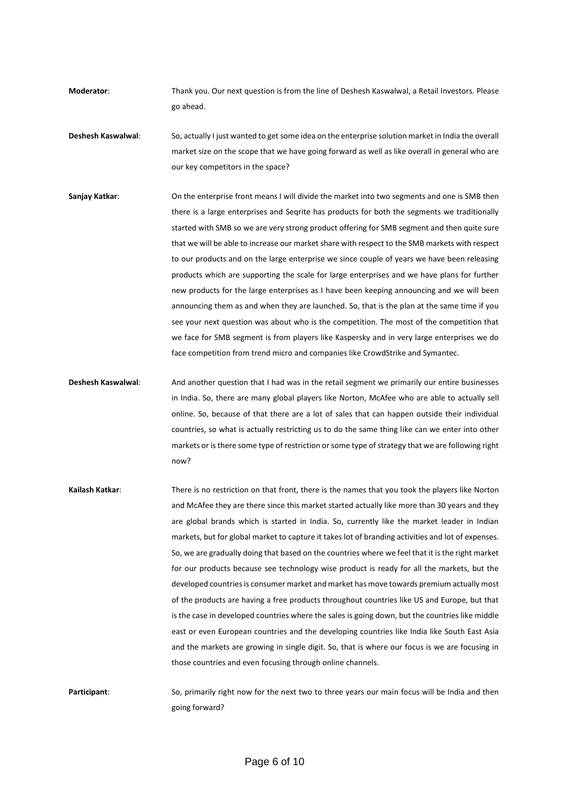**Moderator**: Thank you. Our next question is from the line of Deshesh Kaswalwal, a Retail Investors. Please go ahead.

- **Deshesh Kaswalwal**: So, actually I just wanted to get some idea on the enterprise solution market in India the overall market size on the scope that we have going forward as well as like overall in general who are our key competitors in the space?
- **Sanjay Katkar**: On the enterprise front means I will divide the market into two segments and one is SMB then there is a large enterprises and Seqrite has products for both the segments we traditionally started with SMB so we are very strong product offering for SMB segment and then quite sure that we will be able to increase our market share with respect to the SMB markets with respect to our products and on the large enterprise we since couple of years we have been releasing products which are supporting the scale for large enterprises and we have plans for further new products for the large enterprises as I have been keeping announcing and we will been announcing them as and when they are launched. So, that is the plan at the same time if you see your next question was about who is the competition. The most of the competition that we face for SMB segment is from players like Kaspersky and in very large enterprises we do face competition from trend micro and companies like CrowdStrike and Symantec.
- **Deshesh Kaswalwal**: And another question that I had was in the retail segment we primarily our entire businesses in India. So, there are many global players like Norton, McAfee who are able to actually sell online. So, because of that there are a lot of sales that can happen outside their individual countries, so what is actually restricting us to do the same thing like can we enter into other markets or is there some type of restriction or some type of strategy that we are following right now?
- **Kailash Katkar**: There is no restriction on that front, there is the names that you took the players like Norton and McAfee they are there since this market started actually like more than 30 years and they are global brands which is started in India. So, currently like the market leader in Indian markets, but for global market to capture it takes lot of branding activities and lot of expenses. So, we are gradually doing that based on the countries where we feel that it is the right market for our products because see technology wise product is ready for all the markets, but the developed countries is consumer market and market has move towards premium actually most of the products are having a free products throughout countries like US and Europe, but that is the case in developed countries where the sales is going down, but the countries like middle east or even European countries and the developing countries like India like South East Asia and the markets are growing in single digit. So, that is where our focus is we are focusing in those countries and even focusing through online channels.

**Participant**: So, primarily right now for the next two to three years our main focus will be India and then going forward?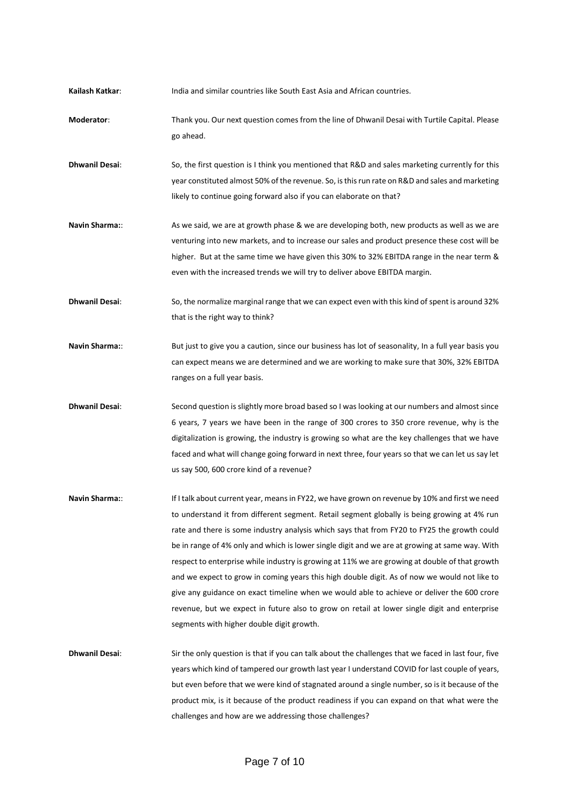**Kailash Katkar**: India and similar countries like South East Asia and African countries.

- **Moderator**: Thank you. Our next question comes from the line of Dhwanil Desai with Turtile Capital. Please go ahead.
- **Dhwanil Desai**: So, the first question is I think you mentioned that R&D and sales marketing currently for this year constituted almost 50% of the revenue. So, is this run rate on R&D and sales and marketing likely to continue going forward also if you can elaborate on that?
- **Navin Sharma:**: As we said, we are at growth phase & we are developing both, new products as well as we are venturing into new markets, and to increase our sales and product presence these cost will be higher. But at the same time we have given this 30% to 32% EBITDA range in the near term & even with the increased trends we will try to deliver above EBITDA margin.

**Dhwanil Desai**: So, the normalize marginal range that we can expect even with this kind of spent is around 32% that is the right way to think?

- **Navin Sharma:**: But just to give you a caution, since our business has lot of seasonality, In a full year basis you can expect means we are determined and we are working to make sure that 30%, 32% EBITDA ranges on a full year basis.
- **Dhwanil Desai:** Second question is slightly more broad based so I was looking at our numbers and almost since 6 years, 7 years we have been in the range of 300 crores to 350 crore revenue, why is the digitalization is growing, the industry is growing so what are the key challenges that we have faced and what will change going forward in next three, four years so that we can let us say let us say 500, 600 crore kind of a revenue?
- **Navin Sharma:**: If I talk about current year, means in FY22, we have grown on revenue by 10% and first we need to understand it from different segment. Retail segment globally is being growing at 4% run rate and there is some industry analysis which says that from FY20 to FY25 the growth could be in range of 4% only and which is lower single digit and we are at growing at same way. With respect to enterprise while industry is growing at 11% we are growing at double of that growth and we expect to grow in coming years this high double digit. As of now we would not like to give any guidance on exact timeline when we would able to achieve or deliver the 600 crore revenue, but we expect in future also to grow on retail at lower single digit and enterprise segments with higher double digit growth.
- **Dhwanil Desai**: Sir the only question is that if you can talk about the challenges that we faced in last four, five years which kind of tampered our growth last year I understand COVID for last couple of years, but even before that we were kind of stagnated around a single number, so is it because of the product mix, is it because of the product readiness if you can expand on that what were the challenges and how are we addressing those challenges?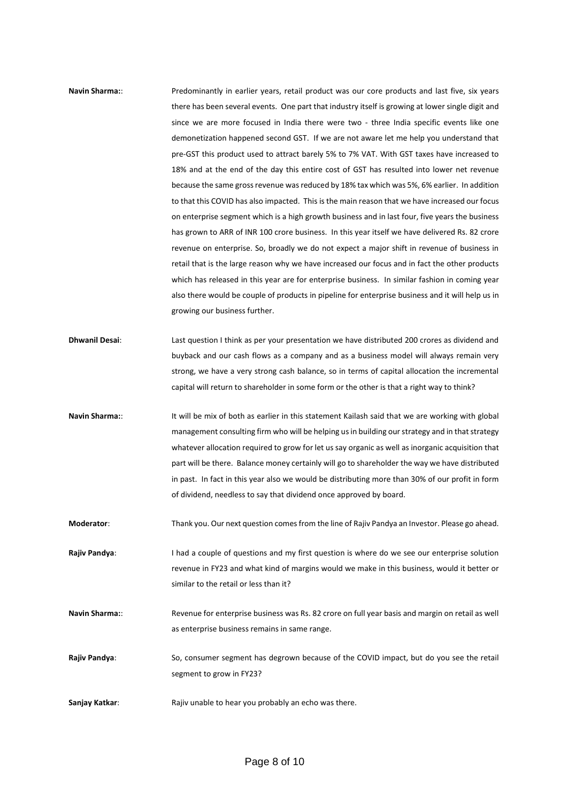## **Navin Sharma:**: Predominantly in earlier years, retail product was our core products and last five, six years there has been several events. One part that industry itself is growing at lower single digit and since we are more focused in India there were two - three India specific events like one demonetization happened second GST. If we are not aware let me help you understand that pre-GST this product used to attract barely 5% to 7% VAT. With GST taxes have increased to 18% and at the end of the day this entire cost of GST has resulted into lower net revenue because the same gross revenue was reduced by 18% tax which was 5%, 6% earlier. In addition to that this COVID has also impacted. This is the main reason that we have increased our focus on enterprise segment which is a high growth business and in last four, five years the business has grown to ARR of INR 100 crore business. In this year itself we have delivered Rs. 82 crore revenue on enterprise. So, broadly we do not expect a major shift in revenue of business in retail that is the large reason why we have increased our focus and in fact the other products which has released in this year are for enterprise business. In similar fashion in coming year also there would be couple of products in pipeline for enterprise business and it will help us in growing our business further.

- **Dhwanil Desai**: Last question I think as per your presentation we have distributed 200 crores as dividend and buyback and our cash flows as a company and as a business model will always remain very strong, we have a very strong cash balance, so in terms of capital allocation the incremental capital will return to shareholder in some form or the other is that a right way to think?
- Navin Sharma:: It will be mix of both as earlier in this statement Kailash said that we are working with global management consulting firm who will be helping us in building our strategy and in that strategy whatever allocation required to grow for let us say organic as well as inorganic acquisition that part will be there. Balance money certainly will go to shareholder the way we have distributed in past. In fact in this year also we would be distributing more than 30% of our profit in form of dividend, needless to say that dividend once approved by board.

**Moderator**: Thank you. Our next question comes from the line of Rajiv Pandya an Investor. Please go ahead.

- **Rajiv Pandya:** I had a couple of questions and my first question is where do we see our enterprise solution revenue in FY23 and what kind of margins would we make in this business, would it better or similar to the retail or less than it?
- **Navin Sharma:**: Revenue for enterprise business was Rs. 82 crore on full year basis and margin on retail as well as enterprise business remains in same range.
- **Rajiv Pandya**: So, consumer segment has degrown because of the COVID impact, but do you see the retail segment to grow in FY23?
- **Sanjay Katkar:** Rajiv unable to hear you probably an echo was there.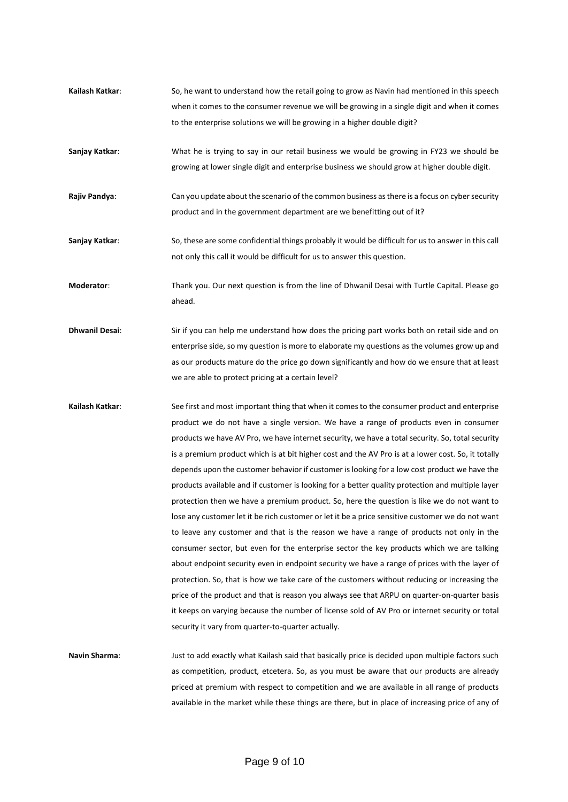- **Kailash Katkar**: So, he want to understand how the retail going to grow as Navin had mentioned in this speech when it comes to the consumer revenue we will be growing in a single digit and when it comes to the enterprise solutions we will be growing in a higher double digit?
- **Sanjay Katkar**: What he is trying to say in our retail business we would be growing in FY23 we should be growing at lower single digit and enterprise business we should grow at higher double digit.
- **Rajiv Pandya:** Can you update about the scenario of the common business as there is a focus on cyber security product and in the government department are we benefitting out of it?
- **Sanjay Katkar**: So, these are some confidential things probably it would be difficult for us to answer in this call not only this call it would be difficult for us to answer this question.
- **Moderator**: Thank you. Our next question is from the line of Dhwanil Desai with Turtle Capital. Please go ahead.
- **Dhwanil Desai**: Sir if you can help me understand how does the pricing part works both on retail side and on enterprise side, so my question is more to elaborate my questions as the volumes grow up and as our products mature do the price go down significantly and how do we ensure that at least we are able to protect pricing at a certain level?
- **Kailash Katkar**: See first and most important thing that when it comes to the consumer product and enterprise product we do not have a single version. We have a range of products even in consumer products we have AV Pro, we have internet security, we have a total security. So, total security is a premium product which is at bit higher cost and the AV Pro is at a lower cost. So, it totally depends upon the customer behavior if customer is looking for a low cost product we have the products available and if customer is looking for a better quality protection and multiple layer protection then we have a premium product. So, here the question is like we do not want to lose any customer let it be rich customer or let it be a price sensitive customer we do not want to leave any customer and that is the reason we have a range of products not only in the consumer sector, but even for the enterprise sector the key products which we are talking about endpoint security even in endpoint security we have a range of prices with the layer of protection. So, that is how we take care of the customers without reducing or increasing the price of the product and that is reason you always see that ARPU on quarter-on-quarter basis it keeps on varying because the number of license sold of AV Pro or internet security or total security it vary from quarter-to-quarter actually.
- **Navin Sharma**: Just to add exactly what Kailash said that basically price is decided upon multiple factors such as competition, product, etcetera. So, as you must be aware that our products are already priced at premium with respect to competition and we are available in all range of products available in the market while these things are there, but in place of increasing price of any of